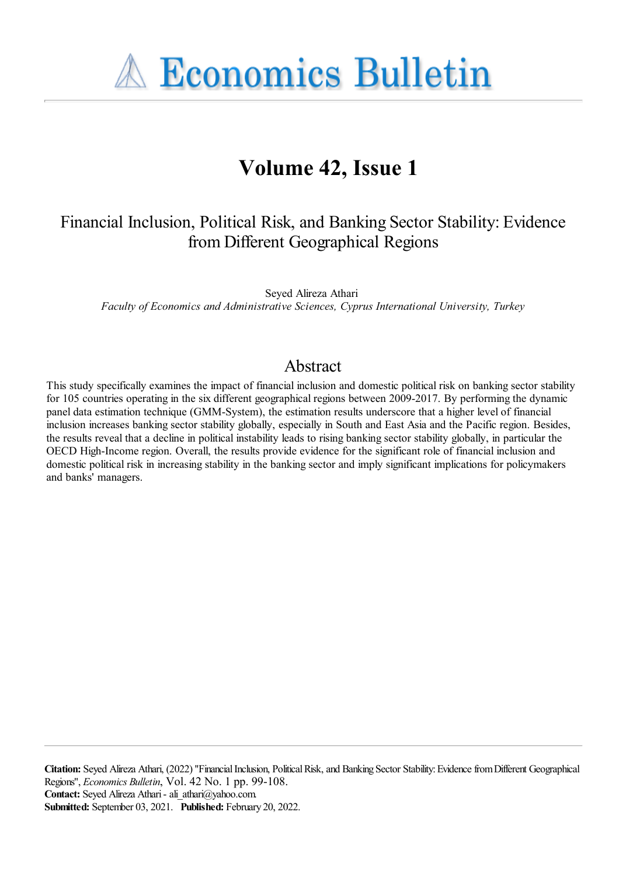**A Economics Bulletin** 

# **Volume 42, Issue 1**

## Financial Inclusion, Political Risk, and Banking Sector Stability: Evidence fromDifferent Geographical Regions

Seyed Alireza Athari *Faculty of Economics and Administrative Sciences, Cyprus International University, Turkey*

## Abstract

This study specifically examines the impact of financial inclusion and domestic political risk on banking sector stability for 105 countries operating in the six different geographical regions between 2009-2017. By performing the dynamic panel data estimation technique (GMM-System), the estimation results underscore that a higher level of financial inclusion increases banking sector stability globally, especially in South and East Asia and the Pacific region. Besides, the results reveal that a decline in political instability leads to rising banking sector stability globally, in particular the OECD High-Income region. Overall, the results provide evidence for the significant role of financial inclusion and domestic political risk in increasing stability in the banking sector and imply significant implications for policymakers and banks' managers.

Citation: Seyed Alireza Athari, (2022) "Financial Inclusion, Political Risk, and Banking Sector Stability: Evidence from Different Geographical Regions'', *Economics Bulletin*, Vol. 42 No. 1 pp. 99-108. Contact: Seyed Alireza Athari - ali athari@yahoo.com. **Submitted:** September 03, 2021. **Published:** February 20, 2022.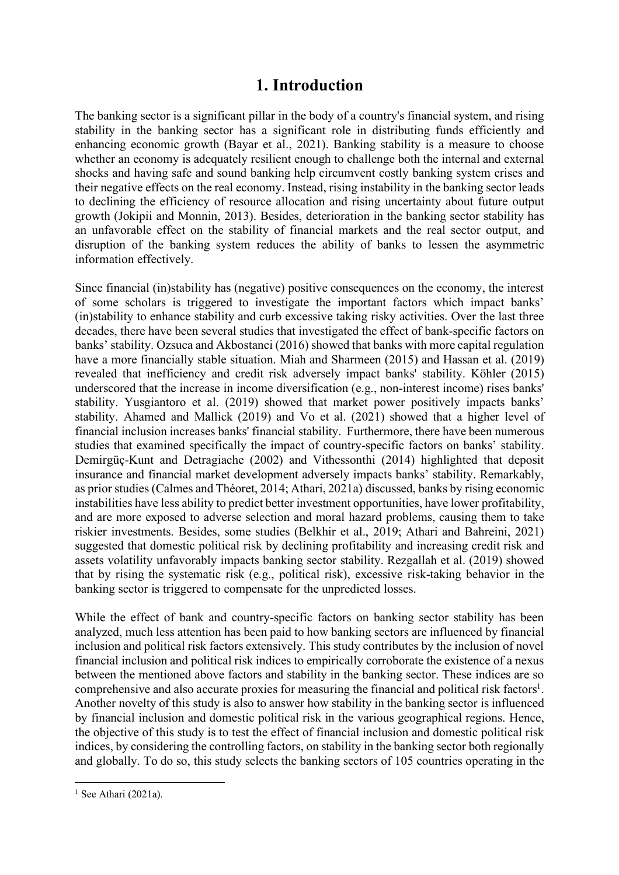## **1. Introduction**

The banking sector is a significant pillar in the body of a country's financial system, and rising stability in the banking sector has a significant role in distributing funds efficiently and enhancing economic growth (Bayar et al., 2021). Banking stability is a measure to choose whether an economy is adequately resilient enough to challenge both the internal and external shocks and having safe and sound banking help circumvent costly banking system crises and their negative effects on the real economy. Instead, rising instability in the banking sector leads to declining the efficiency of resource allocation and rising uncertainty about future output growth (Jokipii and Monnin, 2013). Besides, deterioration in the banking sector stability has an unfavorable effect on the stability of financial markets and the real sector output, and disruption of the banking system reduces the ability of banks to lessen the asymmetric information effectively.

Since financial (in)stability has (negative) positive consequences on the economy, the interest of some scholars is triggered to investigate the important factors which impact banks' (in)stability to enhance stability and curb excessive taking risky activities. Over the last three decades, there have been several studies that investigated the effect of bank-specific factors on banks' stability. Ozsuca and Akbostanci (2016) showed that banks with more capital regulation have a more financially stable situation. Miah and Sharmeen (2015) and Hassan et al. (2019) revealed that inefficiency and credit risk adversely impact banks' stability. Köhler (2015) underscored that the increase in income diversification (e.g., non-interest income) rises banks' stability. Yusgiantoro et al. (2019) showed that market power positively impacts banks' stability. Ahamed and Mallick (2019) and Vo et al. (2021) showed that a higher level of financial inclusion increases banks' financial stability. Furthermore, there have been numerous studies that examined specifically the impact of country-specific factors on banks' stability. Demirgüç-Kunt and Detragiache (2002) and Vithessonthi (2014) highlighted that deposit insurance and financial market development adversely impacts banks' stability. Remarkably, as prior studies (Calmes and Théoret, 2014; Athari, 2021a) discussed, banks by rising economic instabilities have less ability to predict better investment opportunities, have lower profitability, and are more exposed to adverse selection and moral hazard problems, causing them to take riskier investments. Besides, some studies (Belkhir et al., 2019; Athari and Bahreini, 2021) suggested that domestic political risk by declining profitability and increasing credit risk and assets volatility unfavorably impacts banking sector stability. Rezgallah et al. (2019) showed that by rising the systematic risk (e.g., political risk), excessive risk-taking behavior in the banking sector is triggered to compensate for the unpredicted losses.

While the effect of bank and country-specific factors on banking sector stability has been analyzed, much less attention has been paid to how banking sectors are influenced by financial inclusion and political risk factors extensively. This study contributes by the inclusion of novel financial inclusion and political risk indices to empirically corroborate the existence of a nexus between the mentioned above factors and stability in the banking sector. These indices are so comprehensive and also accurate proxies for measuring the financial and political risk factors<sup>1</sup>. Another novelty of this study is also to answer how stability in the banking sector is influenced by financial inclusion and domestic political risk in the various geographical regions. Hence, the objective of this study is to test the effect of financial inclusion and domestic political risk indices, by considering the controlling factors, on stability in the banking sector both regionally and globally. To do so, this study selects the banking sectors of 105 countries operating in the

 $\overline{a}$ 

<sup>&</sup>lt;sup>1</sup> See Athari (2021a).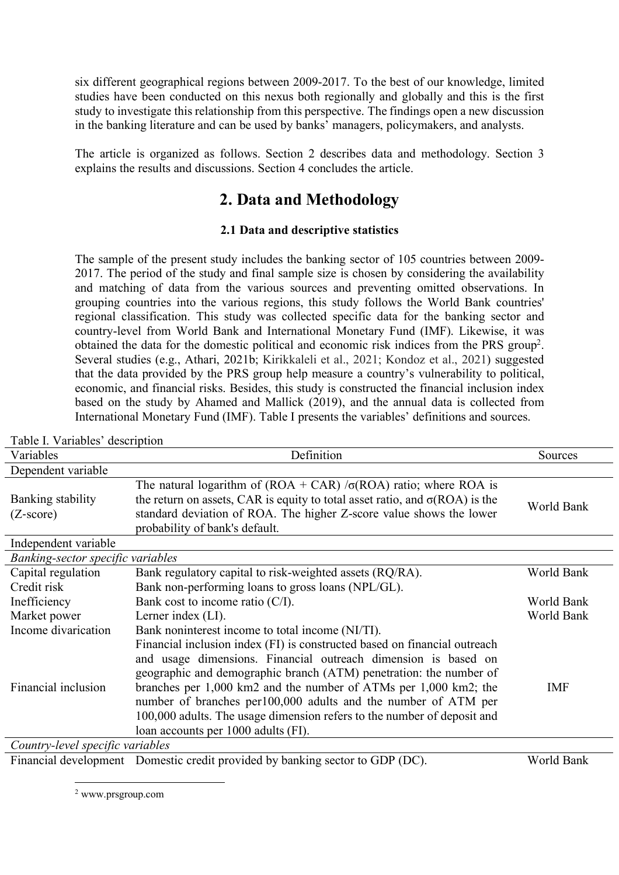six different geographical regions between 2009-2017. To the best of our knowledge, limited studies have been conducted on this nexus both regionally and globally and this is the first study to investigate this relationship from this perspective. The findings open a new discussion in the banking literature and can be used by banks' managers, policymakers, and analysts.

The article is organized as follows. Section 2 describes data and methodology. Section 3 explains the results and discussions. Section 4 concludes the article.

## **2. Data and Methodology**

### **2.1 Data and descriptive statistics**

The sample of the present study includes the banking sector of 105 countries between 2009- 2017. The period of the study and final sample size is chosen by considering the availability and matching of data from the various sources and preventing omitted observations. In grouping countries into the various regions, this study follows the World Bank countries' regional classification. This study was collected specific data for the banking sector and country-level from World Bank and International Monetary Fund (IMF). Likewise, it was obtained the data for the domestic political and economic risk indices from the PRS group<sup>2</sup>. Several studies (e.g., Athari, 2021b; Kirikkaleli et al., 2021; Kondoz et al., 2021) suggested that the data provided by the PRS group help measure a country's vulnerability to political, economic, and financial risks. Besides, this study is constructed the financial inclusion index based on the study by Ahamed and Mallick (2019), and the annual data is collected from International Monetary Fund (IMF). Table I presents the variables' definitions and sources.

| Variables                         | Definition                                                                                | Sources    |
|-----------------------------------|-------------------------------------------------------------------------------------------|------------|
| Dependent variable                |                                                                                           |            |
|                                   | The natural logarithm of $(ROA + CAR) / \sigma(ROA)$ ratio; where ROA is                  |            |
| Banking stability                 | the return on assets, CAR is equity to total asset ratio, and $\sigma(ROA)$ is the        | World Bank |
| $(Z\text{-score})$                | standard deviation of ROA. The higher Z-score value shows the lower                       |            |
|                                   | probability of bank's default.                                                            |            |
| Independent variable              |                                                                                           |            |
| Banking-sector specific variables |                                                                                           |            |
| Capital regulation                | Bank regulatory capital to risk-weighted assets (RQ/RA).                                  | World Bank |
| Credit risk                       | Bank non-performing loans to gross loans (NPL/GL).                                        |            |
| Inefficiency                      | Bank cost to income ratio $(C/I)$ .                                                       | World Bank |
| Market power                      | Lerner index (LI).                                                                        | World Bank |
| Income divarication               | Bank noninterest income to total income (NI/TI).                                          |            |
|                                   | Financial inclusion index (FI) is constructed based on financial outreach                 |            |
|                                   | and usage dimensions. Financial outreach dimension is based on                            |            |
|                                   | geographic and demographic branch (ATM) penetration: the number of                        |            |
| Financial inclusion               | branches per $1,000 \text{ km}$ 2 and the number of ATMs per $1,000 \text{ km}$ 2; the    | <b>IMF</b> |
|                                   | number of branches per100,000 adults and the number of ATM per                            |            |
|                                   | 100,000 adults. The usage dimension refers to the number of deposit and                   |            |
|                                   | loan accounts per 1000 adults (FI).                                                       |            |
| Country-level specific variables  |                                                                                           |            |
|                                   | $F_{\text{inanoid}}$ development. Domestic credit provided by banking sector to $GDD(DC)$ | World Bank |

Table I. Variables' description

Financial development Domestic credit provided by banking sector to GDP (DC). World Bank

 $\overline{a}$ 2 www.prsgroup.com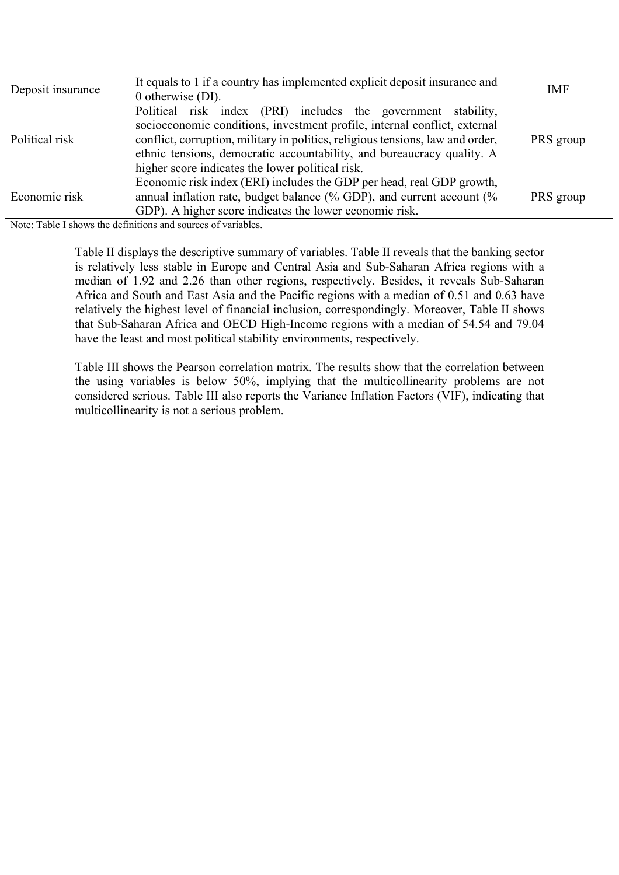| Deposit insurance | It equals to 1 if a country has implemented explicit deposit insurance and<br>0 otherwise $(DI)$ .                                                                                                                                                                                                     |           |  |  |  |  |  |
|-------------------|--------------------------------------------------------------------------------------------------------------------------------------------------------------------------------------------------------------------------------------------------------------------------------------------------------|-----------|--|--|--|--|--|
| Political risk    | Political risk index (PRI) includes the government stability,<br>socioeconomic conditions, investment profile, internal conflict, external<br>conflict, corruption, military in politics, religious tensions, law and order,<br>ethnic tensions, democratic accountability, and bureaucracy quality. A | PRS group |  |  |  |  |  |
|                   | higher score indicates the lower political risk.                                                                                                                                                                                                                                                       |           |  |  |  |  |  |
|                   | Economic risk index (ERI) includes the GDP per head, real GDP growth,                                                                                                                                                                                                                                  |           |  |  |  |  |  |
| Economic risk     | annual inflation rate, budget balance $\frac{0}{6}$ GDP), and current account $\frac{0}{6}$                                                                                                                                                                                                            | PRS group |  |  |  |  |  |
|                   | GDP). A higher score indicates the lower economic risk.                                                                                                                                                                                                                                                |           |  |  |  |  |  |

Note: Table I shows the definitions and sources of variables.

Table II displays the descriptive summary of variables. Table II reveals that the banking sector is relatively less stable in Europe and Central Asia and Sub-Saharan Africa regions with a median of 1.92 and 2.26 than other regions, respectively. Besides, it reveals Sub-Saharan Africa and South and East Asia and the Pacific regions with a median of 0.51 and 0.63 have relatively the highest level of financial inclusion, correspondingly. Moreover, Table II shows that Sub-Saharan Africa and OECD High-Income regions with a median of 54.54 and 79.04 have the least and most political stability environments, respectively.

Table III shows the Pearson correlation matrix. The results show that the correlation between the using variables is below 50%, implying that the multicollinearity problems are not considered serious. Table III also reports the Variance Inflation Factors (VIF), indicating that multicollinearity is not a serious problem.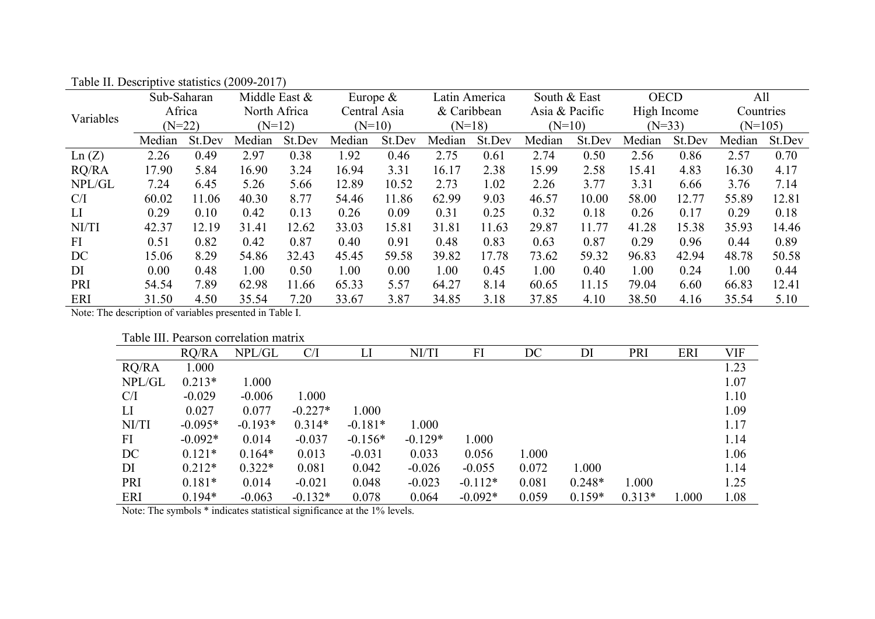| Variables | Sub-Saharan |        | Middle East $&$ |        | Europe $\&$  |        | Latin America |          | South & East   |          | <b>OECD</b> |          | All       |           |  |
|-----------|-------------|--------|-----------------|--------|--------------|--------|---------------|----------|----------------|----------|-------------|----------|-----------|-----------|--|
|           | Africa      |        | North Africa    |        | Central Asia |        | & Caribbean   |          | Asia & Pacific |          | High Income |          | Countries |           |  |
|           | $(N=22)$    |        | $(N=12)$        |        | $(N=10)$     |        |               | $(N=18)$ |                | $(N=10)$ |             | $(N=33)$ |           | $(N=105)$ |  |
|           | Median      | St.Dev | Median          | St.Dev | Median       | St.Dev | Median        | St.Dev   | Median         | St.Dev   | Median      | St.Dev   | Median    | St.Dev    |  |
| Ln(Z)     | 2.26        | 0.49   | 2.97            | 0.38   | 1.92         | 0.46   | 2.75          | 0.61     | 2.74           | 0.50     | 2.56        | 0.86     | 2.57      | 0.70      |  |
| RQ/RA     | 17.90       | 5.84   | 16.90           | 3.24   | 16.94        | 3.31   | 16.17         | 2.38     | 15.99          | 2.58     | 15.41       | 4.83     | 16.30     | 4.17      |  |
| NPL/GL    | 7.24        | 6.45   | 5.26            | 5.66   | 12.89        | 10.52  | 2.73          | 1.02     | 2.26           | 3.77     | 3.31        | 6.66     | 3.76      | 7.14      |  |
| C/I       | 60.02       | 11.06  | 40.30           | 8.77   | 54.46        | 11.86  | 62.99         | 9.03     | 46.57          | 10.00    | 58.00       | 12.77    | 55.89     | 12.81     |  |
| LI        | 0.29        | 0.10   | 0.42            | 0.13   | 0.26         | 0.09   | 0.31          | 0.25     | 0.32           | 0.18     | 0.26        | 0.17     | 0.29      | 0.18      |  |
| NI/TI     | 42.37       | 12.19  | 31.41           | 12.62  | 33.03        | 15.81  | 31.81         | 11.63    | 29.87          | 11.77    | 41.28       | 15.38    | 35.93     | 14.46     |  |
| FI        | 0.51        | 0.82   | 0.42            | 0.87   | 0.40         | 0.91   | 0.48          | 0.83     | 0.63           | 0.87     | 0.29        | 0.96     | 0.44      | 0.89      |  |
| DC        | 15.06       | 8.29   | 54.86           | 32.43  | 45.45        | 59.58  | 39.82         | 17.78    | 73.62          | 59.32    | 96.83       | 42.94    | 48.78     | 50.58     |  |
| DI        | 0.00        | 0.48   | 1.00            | 0.50   | 1.00         | 0.00   | 1.00          | 0.45     | 1.00           | 0.40     | 1.00        | 0.24     | 1.00      | 0.44      |  |
| PRI       | 54.54       | 7.89   | 62.98           | 11.66  | 65.33        | 5.57   | 64.27         | 8.14     | 60.65          | 11.15    | 79.04       | 6.60     | 66.83     | 12.41     |  |
| ERI       | 31.50       | 4.50   | 35.54           | 7.20   | 33.67        | 3.87   | 34.85         | 3.18     | 37.85          | 4.10     | 38.50       | 4.16     | 35.54     | 5.10      |  |

Table II. Descriptive statistics (2009-2017)

Note: The description of variables presented in Table I.

Table III. Pearson correlation matrix

|        |           | Tuoto III. I ollison ooli ollutton muutta |           |           |           |           |       |          |          |       |            |
|--------|-----------|-------------------------------------------|-----------|-----------|-----------|-----------|-------|----------|----------|-------|------------|
|        | RO/RA     | NPL/GL                                    | C/I       | LI        | NI/TI     | FI        | DC    | DI       | PRI      | ERI   | <b>VIF</b> |
| RQ/RA  | 1.000     |                                           |           |           |           |           |       |          |          |       | 1.23       |
| NPL/GL | $0.213*$  | 1.000                                     |           |           |           |           |       |          |          |       | 1.07       |
| C/I    | $-0.029$  | $-0.006$                                  | 1.000     |           |           |           |       |          |          |       | 1.10       |
| LI     | 0.027     | 0.077                                     | $-0.227*$ | 1.000     |           |           |       |          |          |       | 1.09       |
| NI/TI  | $-0.095*$ | $-0.193*$                                 | $0.314*$  | $-0.181*$ | 1.000     |           |       |          |          |       | 1.17       |
| FI     | $-0.092*$ | 0.014                                     | $-0.037$  | $-0.156*$ | $-0.129*$ | 1.000     |       |          |          |       | 1.14       |
| DC     | $0.121*$  | $0.164*$                                  | 0.013     | $-0.031$  | 0.033     | 0.056     | 1.000 |          |          |       | 1.06       |
| DI     | $0.212*$  | $0.322*$                                  | 0.081     | 0.042     | $-0.026$  | $-0.055$  | 0.072 | 1.000    |          |       | 1.14       |
| PRI    | $0.181*$  | 0.014                                     | $-0.021$  | 0.048     | $-0.023$  | $-0.112*$ | 0.081 | $0.248*$ | 1.000    |       | 1.25       |
| ERI    | $0.194*$  | $-0.063$                                  | $-0.132*$ | 0.078     | 0.064     | $-0.092*$ | 0.059 | $0.159*$ | $0.313*$ | 1.000 | 1.08       |

Note: The symbols \* indicates statistical significance at the 1% levels.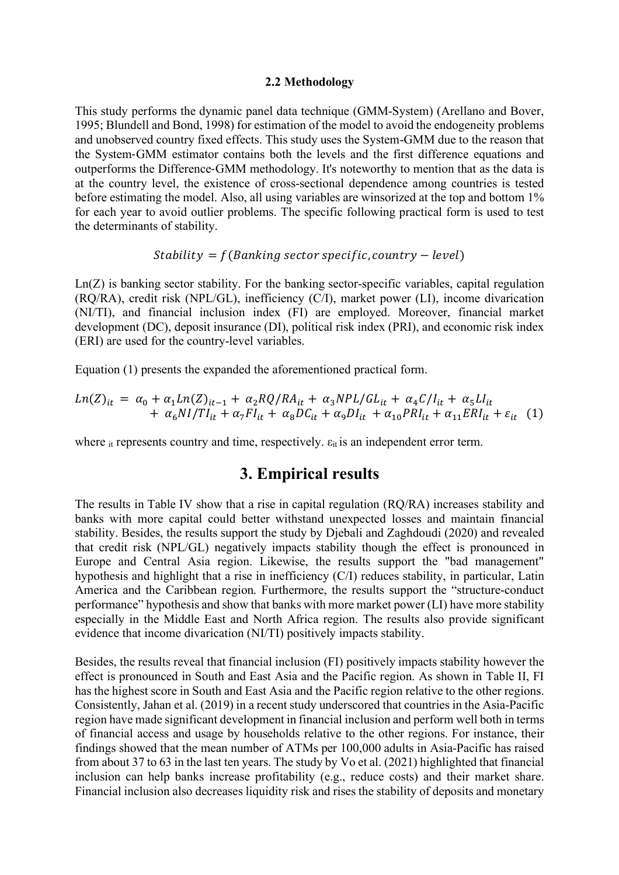#### **2.2 Methodology**

This study performs the dynamic panel data technique (GMM-System) (Arellano and Bover, 1995; Blundell and Bond, 1998) for estimation of the model to avoid the endogeneity problems and unobserved country fixed effects. This study uses the System-GMM due to the reason that the System-GMM estimator contains both the levels and the first difference equations and outperforms the Difference-GMM methodology. It's noteworthy to mention that as the data is at the country level, the existence of cross-sectional dependence among countries is tested before estimating the model. Also, all using variables are winsorized at the top and bottom 1% for each year to avoid outlier problems. The specific following practical form is used to test the determinants of stability.

#### $Stability = f(Banking sector specific, country-level)$

Ln(Z) is banking sector stability. For the banking sector-specific variables, capital regulation (RQ/RA), credit risk (NPL/GL), inefficiency (C/I), market power (LI), income divarication (NI/TI), and financial inclusion index (FI) are employed. Moreover, financial market development (DC), deposit insurance (DI), political risk index (PRI), and economic risk index (ERI) are used for the country-level variables.

Equation (1) presents the expanded the aforementioned practical form.

$$
Ln(Z)_{it} = \alpha_0 + \alpha_1 Ln(Z)_{it-1} + \alpha_2 RQ/RA_{it} + \alpha_3 NPL/GL_{it} + \alpha_4 C/I_{it} + \alpha_5 LI_{it}
$$
  
+  $\alpha_6 NI/TI_{it} + \alpha_7 FI_{it} + \alpha_8 DC_{it} + \alpha_9 DI_{it} + \alpha_{10} PRI_{it} + \alpha_{11} ERI_{it} + \varepsilon_{it}$  (1)

where  $\mu$  represents country and time, respectively.  $\varepsilon_{\text{it}}$  is an independent error term.

## **3. Empirical results**

The results in Table IV show that a rise in capital regulation (RQ/RA) increases stability and banks with more capital could better withstand unexpected losses and maintain financial stability. Besides, the results support the study by Djebali and Zaghdoudi (2020) and revealed that credit risk (NPL/GL) negatively impacts stability though the effect is pronounced in Europe and Central Asia region. Likewise, the results support the "bad management" hypothesis and highlight that a rise in inefficiency (C/I) reduces stability, in particular, Latin America and the Caribbean region. Furthermore, the results support the "structure-conduct performance" hypothesis and show that banks with more market power (LI) have more stability especially in the Middle East and North Africa region. The results also provide significant evidence that income divarication (NI/TI) positively impacts stability.

Besides, the results reveal that financial inclusion (FI) positively impacts stability however the effect is pronounced in South and East Asia and the Pacific region. As shown in Table II, FI has the highest score in South and East Asia and the Pacific region relative to the other regions. Consistently, Jahan et al. (2019) in a recent study underscored that countries in the Asia-Pacific region have made significant development in financial inclusion and perform well both in terms of financial access and usage by households relative to the other regions. For instance, their findings showed that the mean number of ATMs per 100,000 adults in Asia-Pacific has raised from about 37 to 63 in the last ten years. The study by Vo et al. (2021) highlighted that financial inclusion can help banks increase profitability (e.g., reduce costs) and their market share. Financial inclusion also decreases liquidity risk and rises the stability of deposits and monetary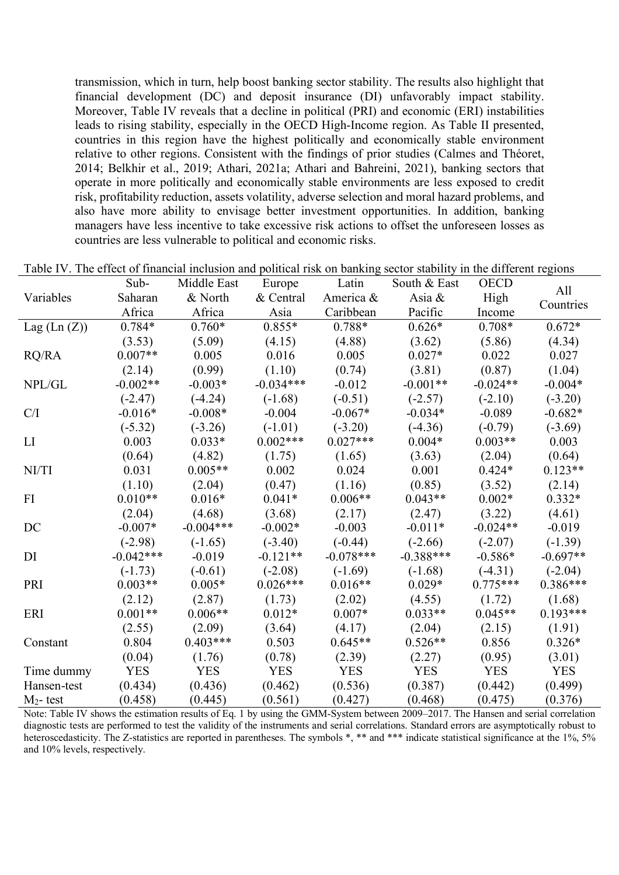transmission, which in turn, help boost banking sector stability. The results also highlight that financial development (DC) and deposit insurance (DI) unfavorably impact stability. Moreover, Table IV reveals that a decline in political (PRI) and economic (ERI) instabilities leads to rising stability, especially in the OECD High-Income region. As Table II presented, countries in this region have the highest politically and economically stable environment relative to other regions. Consistent with the findings of prior studies (Calmes and Théoret, 2014; Belkhir et al., 2019; Athari, 2021a; Athari and Bahreini, 2021), banking sectors that operate in more politically and economically stable environments are less exposed to credit risk, profitability reduction, assets volatility, adverse selection and moral hazard problems, and also have more ability to envisage better investment opportunities. In addition, banking managers have less incentive to take excessive risk actions to offset the unforeseen losses as countries are less vulnerable to political and economic risks.

|                                                                                                                                                       | Sub-        | Middle East | Europe      | Latin       | South & East | <b>OECD</b> | All        |
|-------------------------------------------------------------------------------------------------------------------------------------------------------|-------------|-------------|-------------|-------------|--------------|-------------|------------|
| Variables                                                                                                                                             | Saharan     | & North     | & Central   | America &   | Asia $\&$    | High        | Countries  |
|                                                                                                                                                       | Africa      | Africa      | Asia        | Caribbean   | Pacific      | Income      |            |
| Lag $(Ln (Z))$                                                                                                                                        | $0.784*$    | $0.760*$    | $0.855*$    | $0.788*$    | $0.626*$     | $0.708*$    | $0.672*$   |
|                                                                                                                                                       | (3.53)      | (5.09)      | (4.15)      | (4.88)      | (3.62)       | (5.86)      | (4.34)     |
| RQ/RA                                                                                                                                                 | $0.007**$   | 0.005       | 0.016       | 0.005       | $0.027*$     | 0.022       | 0.027      |
|                                                                                                                                                       | (2.14)      | (0.99)      | (1.10)      | (0.74)      | (3.81)       | (0.87)      | (1.04)     |
| NPL/GL                                                                                                                                                | $-0.002**$  | $-0.003*$   | $-0.034***$ | $-0.012$    | $-0.001**$   | $-0.024**$  | $-0.004*$  |
|                                                                                                                                                       | $(-2.47)$   | $(-4.24)$   | $(-1.68)$   | $(-0.51)$   | $(-2.57)$    | $(-2.10)$   | $(-3.20)$  |
| C/I                                                                                                                                                   | $-0.016*$   | $-0.008*$   | $-0.004$    | $-0.067*$   | $-0.034*$    | $-0.089$    | $-0.682*$  |
|                                                                                                                                                       | $(-5.32)$   | $(-3.26)$   | $(-1.01)$   | $(-3.20)$   | $(-4.36)$    | $(-0.79)$   | $(-3.69)$  |
| LI                                                                                                                                                    | 0.003       | $0.033*$    | $0.002***$  | $0.027***$  | $0.004*$     | $0.003**$   | 0.003      |
|                                                                                                                                                       | (0.64)      | (4.82)      | (1.75)      | (1.65)      | (3.63)       | (2.04)      | (0.64)     |
| NI/TI                                                                                                                                                 | 0.031       | $0.005**$   | 0.002       | 0.024       | 0.001        | $0.424*$    | $0.123**$  |
|                                                                                                                                                       | (1.10)      | (2.04)      | (0.47)      | (1.16)      | (0.85)       | (3.52)      | (2.14)     |
| FI                                                                                                                                                    | $0.010**$   | $0.016*$    | $0.041*$    | $0.006**$   | $0.043**$    | $0.002*$    | $0.332*$   |
|                                                                                                                                                       | (2.04)      | (4.68)      | (3.68)      | (2.17)      | (2.47)       | (3.22)      | (4.61)     |
| DC                                                                                                                                                    | $-0.007*$   | $-0.004***$ | $-0.002*$   | $-0.003$    | $-0.011*$    | $-0.024**$  | $-0.019$   |
|                                                                                                                                                       | $(-2.98)$   | $(-1.65)$   | $(-3.40)$   | $(-0.44)$   | $(-2.66)$    | $(-2.07)$   | $(-1.39)$  |
| DI                                                                                                                                                    | $-0.042***$ | $-0.019$    | $-0.121**$  | $-0.078***$ | $-0.388***$  | $-0.586*$   | $-0.697**$ |
|                                                                                                                                                       | $(-1.73)$   | $(-0.61)$   | $(-2.08)$   | $(-1.69)$   | $(-1.68)$    | $(-4.31)$   | $(-2.04)$  |
| PRI                                                                                                                                                   | $0.003**$   | $0.005*$    | $0.026***$  | $0.016**$   | $0.029*$     | $0.775***$  | $0.386***$ |
|                                                                                                                                                       | (2.12)      | (2.87)      | (1.73)      | (2.02)      | (4.55)       | (1.72)      | (1.68)     |
| ERI                                                                                                                                                   | $0.001**$   | $0.006**$   | $0.012*$    | $0.007*$    | $0.033**$    | $0.045**$   | $0.193***$ |
|                                                                                                                                                       | (2.55)      | (2.09)      | (3.64)      | (4.17)      | (2.04)       | (2.15)      | (1.91)     |
| Constant                                                                                                                                              | 0.804       | $0.403***$  | 0.503       | $0.645**$   | $0.526**$    | 0.856       | $0.326*$   |
|                                                                                                                                                       | (0.04)      | (1.76)      | (0.78)      | (2.39)      | (2.27)       | (0.95)      | (3.01)     |
| Time dummy                                                                                                                                            | <b>YES</b>  | <b>YES</b>  | <b>YES</b>  | <b>YES</b>  | <b>YES</b>   | <b>YES</b>  | <b>YES</b> |
| Hansen-test                                                                                                                                           | (0.434)     | (0.436)     | (0.462)     | (0.536)     | (0.387)      | (0.442)     | (0.499)    |
| $M_2$ - test<br>Mater Table IV shares the estimation negotie of $E_0$ , 1 by value the CMM Gystem between 2000, 2017. The Hanger and semial equipment | (0.458)     | (0.445)     | (0.561)     | (0.427)     | (0.468)      | (0.475)     | (0.376)    |

Table IV. The effect of financial inclusion and political risk on banking sector stability in the different regions

Note: Table IV shows the estimation results of Eq. 1 by using the GMM-System between 2009–2017. The Hansen and serial correlation diagnostic tests are performed to test the validity of the instruments and serial correlations. Standard errors are asymptotically robust to heteroscedasticity. The Z-statistics are reported in parentheses. The symbols \*, \*\* and \*\*\* indicate statistical significance at the 1%, 5% and 10% levels, respectively.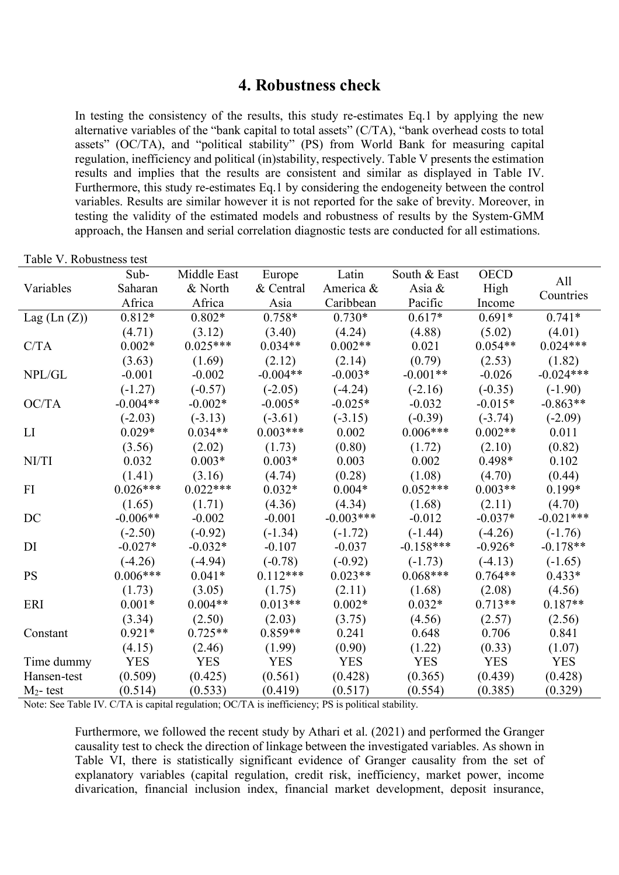## **4. Robustness check**

In testing the consistency of the results, this study re-estimates Eq.1 by applying the new alternative variables of the "bank capital to total assets" (C/TA), "bank overhead costs to total assets" (OC/TA), and "political stability" (PS) from World Bank for measuring capital regulation, inefficiency and political (in)stability, respectively. Table V presents the estimation results and implies that the results are consistent and similar as displayed in Table IV. Furthermore, this study re-estimates Eq.1 by considering the endogeneity between the control variables. Results are similar however it is not reported for the sake of brevity. Moreover, in testing the validity of the estimated models and robustness of results by the System-GMM approach, the Hansen and serial correlation diagnostic tests are conducted for all estimations.

| All<br>& North<br>Saharan<br>& Central<br>Asia $\&$<br>High<br>Variables<br>America &<br>Countries<br>Africa<br>Africa<br>Caribbean<br>Pacific<br>Asia<br>Income<br>$0.812*$<br>$0.802*$<br>$0.758*$<br>$0.730*$<br>$0.617*$<br>$0.741*$<br>$0.691*$<br>Lag $(Ln (Z))$<br>(3.40)<br>(4.88)<br>(4.71)<br>(3.12)<br>(4.24)<br>(5.02)<br>(4.01)<br>$0.025***$<br>$0.034**$<br>$0.002**$<br>$0.024***$<br>C/TA<br>$0.002*$<br>0.021<br>$0.054**$ |
|----------------------------------------------------------------------------------------------------------------------------------------------------------------------------------------------------------------------------------------------------------------------------------------------------------------------------------------------------------------------------------------------------------------------------------------------|
|                                                                                                                                                                                                                                                                                                                                                                                                                                              |
|                                                                                                                                                                                                                                                                                                                                                                                                                                              |
|                                                                                                                                                                                                                                                                                                                                                                                                                                              |
|                                                                                                                                                                                                                                                                                                                                                                                                                                              |
|                                                                                                                                                                                                                                                                                                                                                                                                                                              |
| (0.79)<br>(3.63)<br>(1.69)<br>(2.12)<br>(2.53)<br>(1.82)<br>(2.14)                                                                                                                                                                                                                                                                                                                                                                           |
| NPL/GL<br>$-0.002$<br>$-0.003*$<br>$-0.001**$<br>$-0.024***$<br>$-0.001$<br>$-0.004**$<br>$-0.026$                                                                                                                                                                                                                                                                                                                                           |
| $(-0.35)$<br>$(-1.27)$<br>$(-0.57)$<br>$(-4.24)$<br>$(-2.16)$<br>$(-1.90)$<br>$(-2.05)$                                                                                                                                                                                                                                                                                                                                                      |
| OC/TA<br>$-0.004**$<br>$-0.002*$<br>$-0.005*$<br>$-0.025*$<br>$-0.032$<br>$-0.015*$<br>$-0.863**$                                                                                                                                                                                                                                                                                                                                            |
| $(-0.39)$<br>$(-2.03)$<br>$(-3.13)$<br>$(-3.61)$<br>$(-3.15)$<br>$(-3.74)$<br>$(-2.09)$                                                                                                                                                                                                                                                                                                                                                      |
| $0.006***$<br>LI<br>$0.029*$<br>$0.034**$<br>$0.003***$<br>$0.002**$<br>0.002<br>0.011                                                                                                                                                                                                                                                                                                                                                       |
| (2.02)<br>(0.80)<br>(2.10)<br>(0.82)<br>(3.56)<br>(1.73)<br>(1.72)                                                                                                                                                                                                                                                                                                                                                                           |
| $0.003*$<br>NI/TI<br>0.032<br>$0.003*$<br>0.003<br>0.002<br>0.498*<br>0.102                                                                                                                                                                                                                                                                                                                                                                  |
| (1.41)<br>(0.28)<br>(1.08)<br>(0.44)<br>(3.16)<br>(4.74)<br>(4.70)                                                                                                                                                                                                                                                                                                                                                                           |
| $0.026***$<br>$0.022***$<br>$0.004*$<br>$0.052***$<br>$0.003**$<br>FI<br>$0.032*$<br>0.199*                                                                                                                                                                                                                                                                                                                                                  |
| (4.36)<br>(4.34)<br>(2.11)<br>(1.65)<br>(1.71)<br>(1.68)<br>(4.70)                                                                                                                                                                                                                                                                                                                                                                           |
| $-0.003***$<br>$-0.021***$<br>DC<br>$-0.006**$<br>$-0.002$<br>$-0.001$<br>$-0.012$<br>$-0.037*$                                                                                                                                                                                                                                                                                                                                              |
| $(-0.92)$<br>$(-4.26)$<br>$(-2.50)$<br>$(-1.34)$<br>$(-1.72)$<br>$(-1.44)$<br>$(-1.76)$                                                                                                                                                                                                                                                                                                                                                      |
| $-0.027*$<br>$-0.158***$<br>DI<br>$-0.032*$<br>$-0.107$<br>$-0.037$<br>$-0.926*$<br>$-0.178**$                                                                                                                                                                                                                                                                                                                                               |
| $(-4.26)$<br>$(-4.94)$<br>$(-0.92)$<br>$(-4.13)$<br>$(-0.78)$<br>$(-1.73)$<br>$(-1.65)$                                                                                                                                                                                                                                                                                                                                                      |
| <b>PS</b><br>$0.006***$<br>$0.112***$<br>$0.023**$<br>$0.068***$<br>$0.041*$<br>$0.764**$<br>$0.433*$                                                                                                                                                                                                                                                                                                                                        |
| (1.73)<br>(3.05)<br>(1.75)<br>(2.08)<br>(4.56)<br>(2.11)<br>(1.68)                                                                                                                                                                                                                                                                                                                                                                           |
| $0.032*$<br>$0.713**$<br>$0.187**$<br>ERI<br>$0.001*$<br>$0.004**$<br>$0.013**$<br>$0.002*$                                                                                                                                                                                                                                                                                                                                                  |
| (3.34)<br>(2.50)<br>(2.03)<br>(3.75)<br>(4.56)<br>(2.57)<br>(2.56)                                                                                                                                                                                                                                                                                                                                                                           |
| $0.921*$<br>$0.725**$<br>$0.859**$<br>0.241<br>0.706<br>0.841<br>0.648<br>Constant                                                                                                                                                                                                                                                                                                                                                           |
| (1.99)<br>(0.90)<br>(1.22)<br>(0.33)<br>(4.15)<br>(2.46)<br>(1.07)                                                                                                                                                                                                                                                                                                                                                                           |
| <b>YES</b><br><b>YES</b><br><b>YES</b><br><b>YES</b><br><b>YES</b><br><b>YES</b><br><b>YES</b><br>Time dummy                                                                                                                                                                                                                                                                                                                                 |
| (0.509)<br>(0.425)<br>(0.561)<br>(0.428)<br>(0.365)<br>Hansen-test<br>(0.439)<br>(0.428)                                                                                                                                                                                                                                                                                                                                                     |
| (0.514)<br>(0.533)<br>(0.419)<br>(0.517)<br>(0.385)<br>(0.554)<br>(0.329)<br>$M_2$ - test<br>Note: See Table IV, $C/T\Lambda$ is conital regulation: $OCT\Lambda$ is inefficiency: $DS$ is political stability                                                                                                                                                                                                                               |

|  | Table V. Robustness test |  |
|--|--------------------------|--|
|--|--------------------------|--|

 $C/TA$  is capital regulation;  $OC/TA$  is inefficiency; PS is political stability.

Furthermore, we followed the recent study by Athari et al. (2021) and performed the Granger causality test to check the direction of linkage between the investigated variables. As shown in Table VI, there is statistically significant evidence of Granger causality from the set of explanatory variables (capital regulation, credit risk, inefficiency, market power, income divarication, financial inclusion index, financial market development, deposit insurance,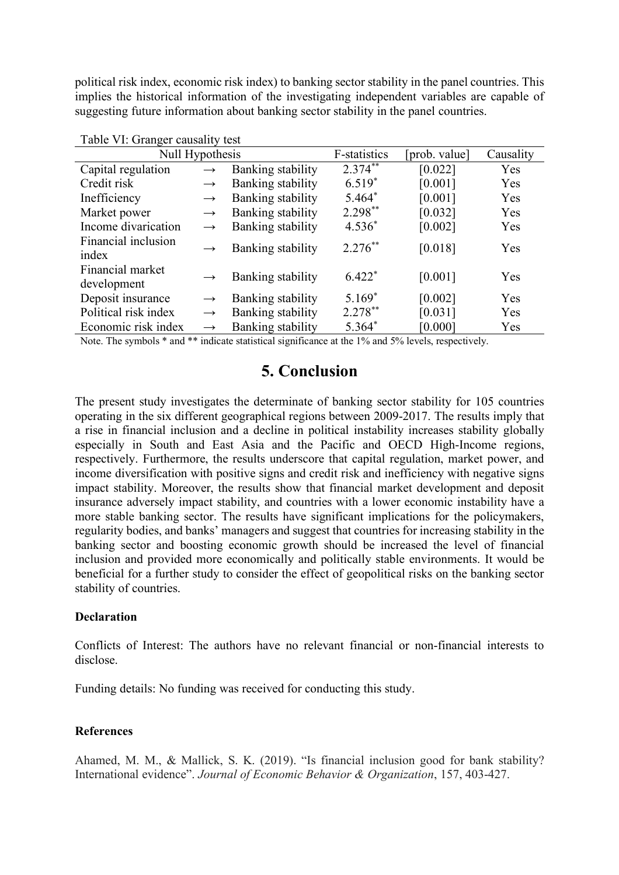political risk index, economic risk index) to banking sector stability in the panel countries. This implies the historical information of the investigating independent variables are capable of suggesting future information about banking sector stability in the panel countries.

| Null Hypothesis                 |               |                   | F-statistics | prob. value] | Causality |
|---------------------------------|---------------|-------------------|--------------|--------------|-----------|
| Capital regulation              | $\rightarrow$ | Banking stability | $2.374***$   | [0.022]      | Yes       |
| Credit risk                     | $\rightarrow$ | Banking stability | $6.519*$     | [0.001]      | Yes       |
| Inefficiency                    | $\rightarrow$ | Banking stability | $5.464*$     | [0.001]      | Yes       |
| Market power                    | $\rightarrow$ | Banking stability | $2.298**$    | [0.032]      | Yes       |
| Income divarication             | $\rightarrow$ | Banking stability | $4.536*$     | [0.002]      | Yes       |
| Financial inclusion<br>index    | $\rightarrow$ | Banking stability | $2.276***$   | [0.018]      | Yes       |
| Financial market<br>development | $\rightarrow$ | Banking stability | $6.422*$     | [0.001]      | Yes       |
| Deposit insurance               | $\rightarrow$ | Banking stability | $5.169*$     | [0.002]      | Yes       |
| Political risk index            | $\rightarrow$ | Banking stability | $2.278***$   | [0.031]      | Yes       |
| Economic risk index             | $\rightarrow$ | Banking stability | 5.364*       | [0.000]      | Yes       |

|  |  |  | Table VI: Granger causality test |  |
|--|--|--|----------------------------------|--|
|--|--|--|----------------------------------|--|

Note. The symbols \* and \*\* indicate statistical significance at the 1% and 5% levels, respectively.

## **5. Conclusion**

The present study investigates the determinate of banking sector stability for 105 countries operating in the six different geographical regions between 2009-2017. The results imply that a rise in financial inclusion and a decline in political instability increases stability globally especially in South and East Asia and the Pacific and OECD High-Income regions, respectively. Furthermore, the results underscore that capital regulation, market power, and income diversification with positive signs and credit risk and inefficiency with negative signs impact stability. Moreover, the results show that financial market development and deposit insurance adversely impact stability, and countries with a lower economic instability have a more stable banking sector. The results have significant implications for the policymakers, regularity bodies, and banks' managers and suggest that countries for increasing stability in the banking sector and boosting economic growth should be increased the level of financial inclusion and provided more economically and politically stable environments. It would be beneficial for a further study to consider the effect of geopolitical risks on the banking sector stability of countries.

#### **Declaration**

Conflicts of Interest: The authors have no relevant financial or non-financial interests to disclose.

Funding details: No funding was received for conducting this study.

#### **References**

Ahamed, M. M., & Mallick, S. K. (2019). "Is financial inclusion good for bank stability? International evidence". *Journal of Economic Behavior & Organization*, 157, 403-427.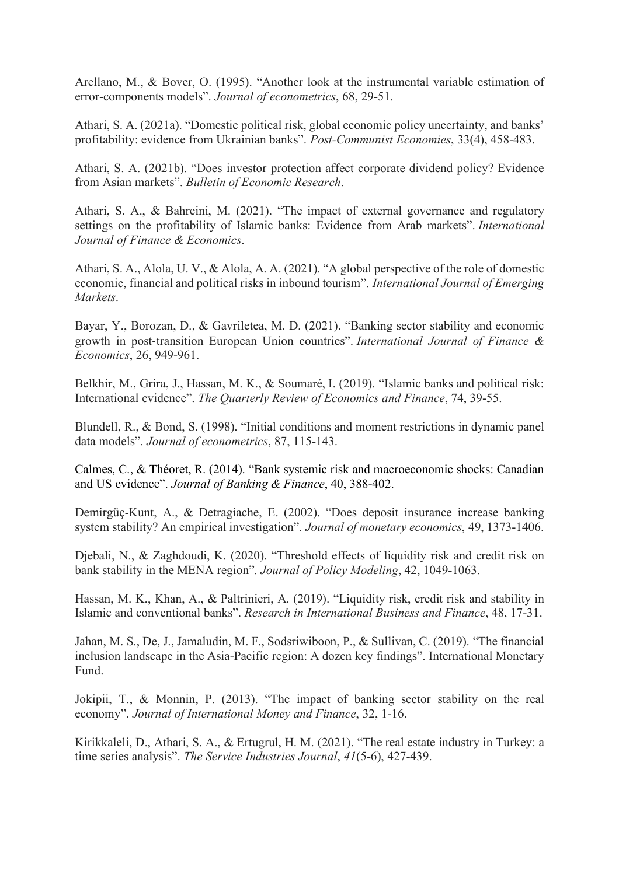Arellano, M., & Bover, O. (1995). "Another look at the instrumental variable estimation of error-components models". *Journal of econometrics*, 68, 29-51.

Athari, S. A. (2021a). "Domestic political risk, global economic policy uncertainty, and banks' profitability: evidence from Ukrainian banks". *Post-Communist Economies*, 33(4), 458-483.

Athari, S. A. (2021b). "Does investor protection affect corporate dividend policy? Evidence from Asian markets". *Bulletin of Economic Research*.

Athari, S. A., & Bahreini, M. (2021). "The impact of external governance and regulatory settings on the profitability of Islamic banks: Evidence from Arab markets". *International Journal of Finance & Economics*.

Athari, S. A., Alola, U. V., & Alola, A. A. (2021). "A global perspective of the role of domestic economic, financial and political risks in inbound tourism". *International Journal of Emerging Markets*.

Bayar, Y., Borozan, D., & Gavriletea, M. D. (2021). "Banking sector stability and economic growth in post-transition European Union countries". *International Journal of Finance & Economics*, 26, 949-961.

Belkhir, M., Grira, J., Hassan, M. K., & Soumaré, I. (2019). "Islamic banks and political risk: International evidence". *The Quarterly Review of Economics and Finance*, 74, 39-55.

Blundell, R., & Bond, S. (1998). "Initial conditions and moment restrictions in dynamic panel data models". *Journal of econometrics*, 87, 115-143.

Calmes, C., & Théoret, R. (2014). "Bank systemic risk and macroeconomic shocks: Canadian and US evidence". *Journal of Banking & Finance*, 40, 388-402.

Demirgüç-Kunt, A., & Detragiache, E. (2002). "Does deposit insurance increase banking system stability? An empirical investigation". *Journal of monetary economics*, 49, 1373-1406.

Djebali, N., & Zaghdoudi, K. (2020). "Threshold effects of liquidity risk and credit risk on bank stability in the MENA region". *Journal of Policy Modeling*, 42, 1049-1063.

Hassan, M. K., Khan, A., & Paltrinieri, A. (2019). "Liquidity risk, credit risk and stability in Islamic and conventional banks". *Research in International Business and Finance*, 48, 17-31.

Jahan, M. S., De, J., Jamaludin, M. F., Sodsriwiboon, P., & Sullivan, C. (2019). "The financial inclusion landscape in the Asia-Pacific region: A dozen key findings". International Monetary Fund.

Jokipii, T., & Monnin, P. (2013). "The impact of banking sector stability on the real economy". *Journal of International Money and Finance*, 32, 1-16.

Kirikkaleli, D., Athari, S. A., & Ertugrul, H. M. (2021). "The real estate industry in Turkey: a time series analysis". *The Service Industries Journal*, *41*(5-6), 427-439.